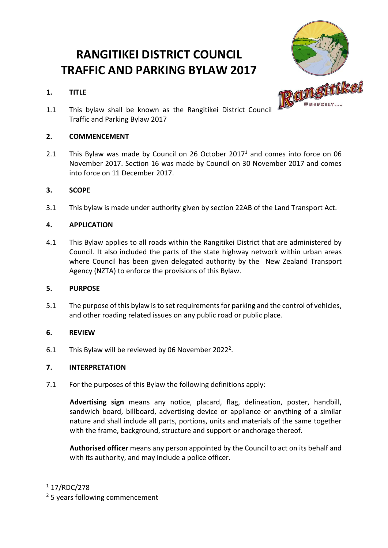# **RANGITIKEI DISTRICT COUNCIL TRAFFIC AND PARKING BYLAW 2017**

# **1. TITLE**



1.1 This bylaw shall be known as the Rangitikei District Council Traffic and Parking Bylaw 2017

# **2. COMMENCEMENT**

2.1 This Bylaw was made by Council on 26 October 2017<sup>1</sup> and comes into force on 06 November 2017. Section 16 was made by Council on 30 November 2017 and comes into force on 11 December 2017.

# **3. SCOPE**

3.1 This bylaw is made under authority given by section 22AB of the Land Transport Act.

# **4. APPLICATION**

4.1 This Bylaw applies to all roads within the Rangitikei District that are administered by Council. It also included the parts of the state highway network within urban areas where Council has been given delegated authority by the New Zealand Transport Agency (NZTA) to enforce the provisions of this Bylaw.

# **5. PURPOSE**

5.1 The purpose of this bylaw is to set requirements for parking and the control of vehicles, and other roading related issues on any public road or public place.

# **6. REVIEW**

6.1 This Bylaw will be reviewed by 06 November 2022<sup>2</sup>.

# **7. INTERPRETATION**

7.1 For the purposes of this Bylaw the following definitions apply:

**Advertising sign** means any notice, placard, flag, delineation, poster, handbill, sandwich board, billboard, advertising device or appliance or anything of a similar nature and shall include all parts, portions, units and materials of the same together with the frame, background, structure and support or anchorage thereof.

**Authorised officer** means any person appointed by the Council to act on its behalf and with its authority, and may include a police officer.

 $\overline{a}$ 

 $117/RDC/278$ 

<sup>&</sup>lt;sup>2</sup> 5 years following commencement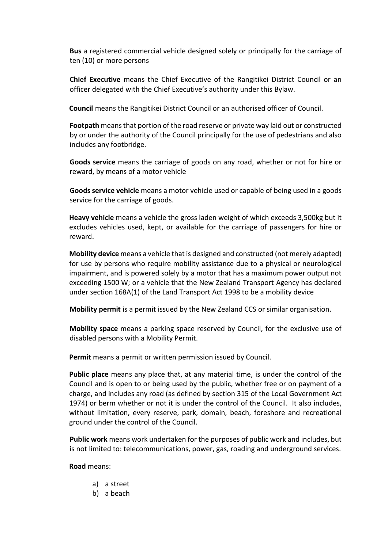**Bus** a registered commercial vehicle designed solely or principally for the carriage of ten (10) or more persons

**Chief Executive** means the Chief Executive of the Rangitikei District Council or an officer delegated with the Chief Executive's authority under this Bylaw.

**Council** means the Rangitikei District Council or an authorised officer of Council.

**Footpath** means that portion of the road reserve or private way laid out or constructed by or under the authority of the Council principally for the use of pedestrians and also includes any footbridge.

**Goods service** means the carriage of goods on any road, whether or not for hire or reward, by means of a motor vehicle

**Goods service vehicle** means a motor vehicle used or capable of being used in a goods service for the carriage of goods.

**Heavy vehicle** means a vehicle the gross laden weight of which exceeds 3,500kg but it excludes vehicles used, kept, or available for the carriage of passengers for hire or reward.

**Mobility device** means a vehicle that is designed and constructed (not merely adapted) for use by persons who require mobility assistance due to a physical or neurological impairment, and is powered solely by a motor that has a maximum power output not exceeding 1500 W; or a vehicle that the New Zealand Transport Agency has declared under [section 168A\(1\)](http://www.legislation.govt.nz/act/public/1998/0110/latest/link.aspx?id=DLM435415#DLM435415) of the Land Transport Act 1998 to be a mobility device

**Mobility permit** is a permit issued by the New Zealand CCS or similar organisation.

**Mobility space** means a parking space reserved by Council, for the exclusive use of disabled persons with a Mobility Permit.

**Permit** means a permit or written permission issued by Council.

**Public place** means any place that, at any material time, is under the control of the Council and is open to or being used by the public, whether free or on payment of a charge, and includes any road (as defined by section 315 of the Local Government Act 1974) or berm whether or not it is under the control of the Council. It also includes, without limitation, every reserve, park, domain, beach, foreshore and recreational ground under the control of the Council.

**Public work** means work undertaken for the purposes of public work and includes, but is not limited to: telecommunications, power, gas, roading and underground services.

#### **Road** means:

- a) a street
- b) a beach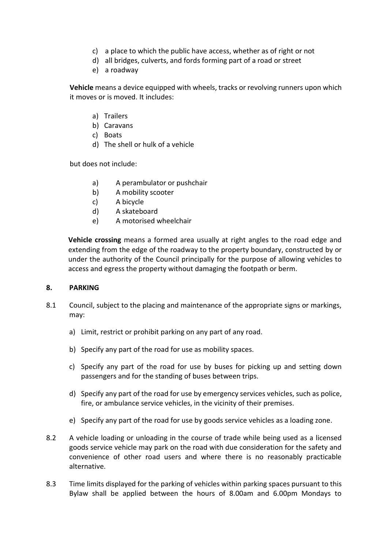- c) a place to which the public have access, whether as of right or not
- d) all bridges, culverts, and fords forming part of a road or street
- e) a roadway

**Vehicle** means a device equipped with wheels, tracks or revolving runners upon which it moves or is moved. It includes:

- a) Trailers
- b) Caravans
- c) Boats
- d) The shell or hulk of a vehicle

but does not include:

- a) A perambulator or pushchair
- b) A mobility scooter
- c) A bicycle
- d) A skateboard
- e) A motorised wheelchair

**Vehicle crossing** means a formed area usually at right angles to the road edge and extending from the edge of the roadway to the property boundary, constructed by or under the authority of the Council principally for the purpose of allowing vehicles to access and egress the property without damaging the footpath or berm.

#### **8. PARKING**

- 8.1 Council, subject to the placing and maintenance of the appropriate signs or markings, may:
	- a) Limit, restrict or prohibit parking on any part of any road.
	- b) Specify any part of the road for use as mobility spaces.
	- c) Specify any part of the road for use by buses for picking up and setting down passengers and for the standing of buses between trips.
	- d) Specify any part of the road for use by emergency services vehicles, such as police, fire, or ambulance service vehicles, in the vicinity of their premises.
	- e) Specify any part of the road for use by goods service vehicles as a loading zone.
- 8.2 A vehicle loading or unloading in the course of trade while being used as a licensed goods service vehicle may park on the road with due consideration for the safety and convenience of other road users and where there is no reasonably practicable alternative.
- 8.3 Time limits displayed for the parking of vehicles within parking spaces pursuant to this Bylaw shall be applied between the hours of 8.00am and 6.00pm Mondays to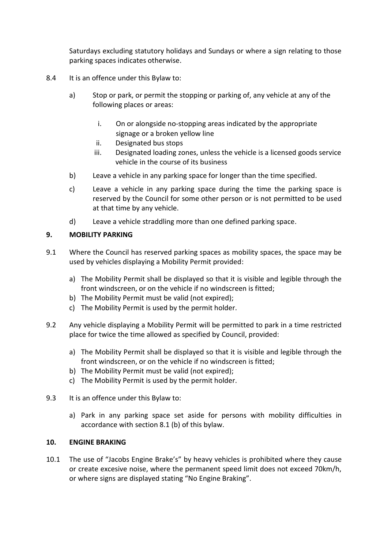Saturdays excluding statutory holidays and Sundays or where a sign relating to those parking spaces indicates otherwise.

- 8.4 It is an offence under this Bylaw to:
	- a) Stop or park, or permit the stopping or parking of, any vehicle at any of the following places or areas:
		- i. On or alongside no‐stopping areas indicated by the appropriate signage or a broken yellow line
		- ii. Designated bus stops
		- iii. Designated loading zones, unless the vehicle is a licensed goods service vehicle in the course of its business
	- b) Leave a vehicle in any parking space for longer than the time specified.
	- c) Leave a vehicle in any parking space during the time the parking space is reserved by the Council for some other person or is not permitted to be used at that time by any vehicle.
	- d) Leave a vehicle straddling more than one defined parking space.

## **9. MOBILITY PARKING**

- 9.1 Where the Council has reserved parking spaces as mobility spaces, the space may be used by vehicles displaying a Mobility Permit provided:
	- a) The Mobility Permit shall be displayed so that it is visible and legible through the front windscreen, or on the vehicle if no windscreen is fitted;
	- b) The Mobility Permit must be valid (not expired);
	- c) The Mobility Permit is used by the permit holder.
- 9.2 Any vehicle displaying a Mobility Permit will be permitted to park in a time restricted place for twice the time allowed as specified by Council, provided:
	- a) The Mobility Permit shall be displayed so that it is visible and legible through the front windscreen, or on the vehicle if no windscreen is fitted;
	- b) The Mobility Permit must be valid (not expired);
	- c) The Mobility Permit is used by the permit holder.
- 9.3 It is an offence under this Bylaw to:
	- a) Park in any parking space set aside for persons with mobility difficulties in accordance with section 8.1 (b) of this bylaw.

#### **10. ENGINE BRAKING**

10.1 The use of "Jacobs Engine Brake's" by heavy vehicles is prohibited where they cause or create excesive noise, where the permanent speed limit does not exceed 70km/h, or where signs are displayed stating "No Engine Braking".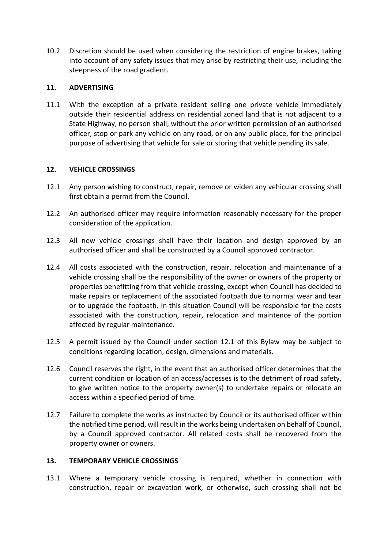10.2 Discretion should be used when considering the restriction of engine brakes, taking into account of any safety issues that may arise by restricting their use, including the steepness of the road gradient.

## **11. ADVERTISING**

11.1 With the exception of a private resident selling one private vehicle immediately outside their residential address on residential zoned land that is not adjacent to a State Highway, no person shall, without the prior written permission of an authorised officer, stop or park any vehicle on any road, or on any public place, for the principal purpose of advertising that vehicle for sale or storing that vehicle pending its sale.

## **12. VEHICLE CROSSINGS**

- 12.1 Any person wishing to construct, repair, remove or widen any vehicular crossing shall first obtain a permit from the Council.
- 12.2 An authorised officer may require information reasonably necessary for the proper consideration of the application.
- 12.3 All new vehicle crossings shall have their location and design approved by an authorised officer and shall be constructed by a Council approved contractor.
- 12.4 All costs associated with the construction, repair, relocation and maintenance of a vehicle crossing shall be the responsibility of the owner or owners of the property or properties benefitting from that vehicle crossing, except when Council has decided to make repairs or replacement of the associated footpath due to normal wear and tear or to upgrade the footpath. In this situation Council will be responsible for the costs associated with the construction, repair, relocation and maintence of the portion affected by regular maintenance.
- 12.5 A permit issued by the Council under section 12.1 of this Bylaw may be subject to conditions regarding location, design, dimensions and materials.
- 12.6 Council reserves the right, in the event that an authorised officer determines that the current condition or location of an access/accesses is to the detriment of road safety, to give written notice to the property owner(s) to undertake repairs or relocate an access within a specified period of time.
- 12.7 Failure to complete the works as instructed by Council or its authorised officer within the notified time period, will result in the works being undertaken on behalf of Council, by a Council approved contractor. All related costs shall be recovered from the property owner or owners.

#### **13. TEMPORARY VEHICLE CROSSINGS**

13.1 Where a temporary vehicle crossing is required, whether in connection with construction, repair or excavation work, or otherwise, such crossing shall not be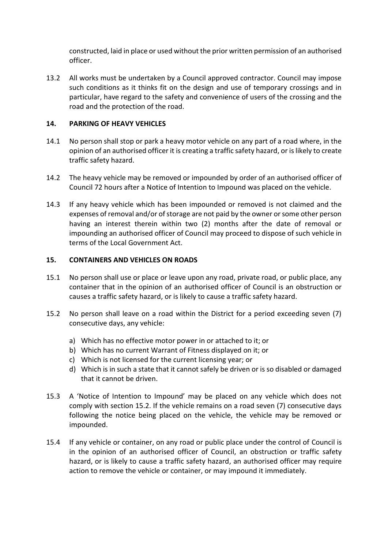constructed, laid in place or used without the prior written permission of an authorised officer.

13.2 All works must be undertaken by a Council approved contractor. Council may impose such conditions as it thinks fit on the design and use of temporary crossings and in particular, have regard to the safety and convenience of users of the crossing and the road and the protection of the road.

## **14. PARKING OF HEAVY VEHICLES**

- 14.1 No person shall stop or park a heavy motor vehicle on any part of a road where, in the opinion of an authorised officer it is creating a traffic safety hazard, or islikely to create traffic safety hazard.
- 14.2 The heavy vehicle may be removed or impounded by order of an authorised officer of Council 72 hours after a Notice of Intention to Impound was placed on the vehicle.
- 14.3 If any heavy vehicle which has been impounded or removed is not claimed and the expenses of removal and/or of storage are not paid by the owner or some other person having an interest therein within two (2) months after the date of removal or impounding an authorised officer of Council may proceed to dispose of such vehicle in terms of the Local Government Act.

## **15. CONTAINERS AND VEHICLES ON ROADS**

- 15.1 No person shall use or place or leave upon any road, private road, or public place, any container that in the opinion of an authorised officer of Council is an obstruction or causes a traffic safety hazard, or is likely to cause a traffic safety hazard.
- 15.2 No person shall leave on a road within the District for a period exceeding seven (7) consecutive days, any vehicle:
	- a) Which has no effective motor power in or attached to it; or
	- b) Which has no current Warrant of Fitness displayed on it; or
	- c) Which is not licensed for the current licensing year; or
	- d) Which is in such a state that it cannot safely be driven or is so disabled or damaged that it cannot be driven.
- 15.3 A 'Notice of Intention to Impound' may be placed on any vehicle which does not comply with section 15.2. If the vehicle remains on a road seven (7) consecutive days following the notice being placed on the vehicle, the vehicle may be removed or impounded.
- 15.4 If any vehicle or container, on any road or public place under the control of Council is in the opinion of an authorised officer of Council, an obstruction or traffic safety hazard, or is likely to cause a traffic safety hazard, an authorised officer may require action to remove the vehicle or container, or may impound it immediately.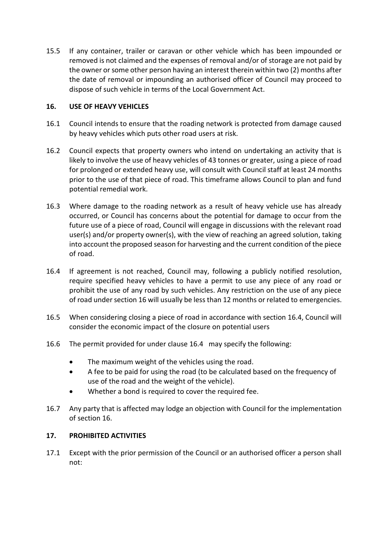15.5 If any container, trailer or caravan or other vehicle which has been impounded or removed is not claimed and the expenses of removal and/or of storage are not paid by the owner or some other person having an interest therein within two (2) months after the date of removal or impounding an authorised officer of Council may proceed to dispose of such vehicle in terms of the Local Government Act.

## **16. USE OF HEAVY VEHICLES**

- 16.1 Council intends to ensure that the roading network is protected from damage caused by heavy vehicles which puts other road users at risk.
- 16.2 Council expects that property owners who intend on undertaking an activity that is likely to involve the use of heavy vehicles of 43 tonnes or greater, using a piece of road for prolonged or extended heavy use, will consult with Council staff at least 24 months prior to the use of that piece of road. This timeframe allows Council to plan and fund potential remedial work.
- 16.3 Where damage to the roading network as a result of heavy vehicle use has already occurred, or Council has concerns about the potential for damage to occur from the future use of a piece of road, Council will engage in discussions with the relevant road user(s) and/or property owner(s), with the view of reaching an agreed solution, taking into account the proposed season for harvesting and the current condition of the piece of road.
- 16.4 If agreement is not reached, Council may, following a publicly notified resolution, require specified heavy vehicles to have a permit to use any piece of any road or prohibit the use of any road by such vehicles. Any restriction on the use of any piece of road under section 16 will usually be less than 12 months or related to emergencies.
- 16.5 When considering closing a piece of road in accordance with section 16.4, Council will consider the economic impact of the closure on potential users
- 16.6 The permit provided for under clause 16.4 may specify the following:
	- The maximum weight of the vehicles using the road.
	- A fee to be paid for using the road (to be calculated based on the frequency of use of the road and the weight of the vehicle).
	- Whether a bond is required to cover the required fee.
- 16.7 Any party that is affected may lodge an objection with Council for the implementation of section 16.

#### **17. PROHIBITED ACTIVITIES**

17.1 Except with the prior permission of the Council or an authorised officer a person shall not: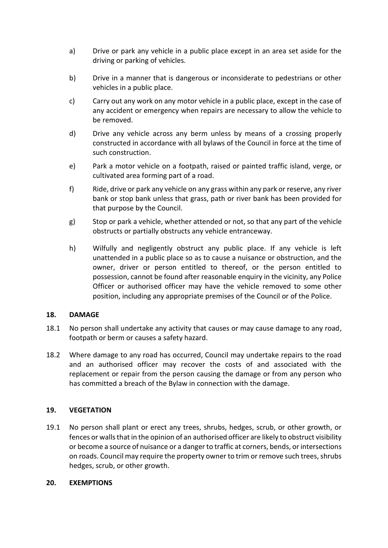- a) Drive or park any vehicle in a public place except in an area set aside for the driving or parking of vehicles.
- b) Drive in a manner that is dangerous or inconsiderate to pedestrians or other vehicles in a public place.
- c) Carry out any work on any motor vehicle in a public place, except in the case of any accident or emergency when repairs are necessary to allow the vehicle to be removed.
- d) Drive any vehicle across any berm unless by means of a crossing properly constructed in accordance with all bylaws of the Council in force at the time of such construction.
- e) Park a motor vehicle on a footpath, raised or painted traffic island, verge, or cultivated area forming part of a road.
- f) Ride, drive or park any vehicle on any grass within any park or reserve, any river bank or stop bank unless that grass, path or river bank has been provided for that purpose by the Council.
- g) Stop or park a vehicle, whether attended or not, so that any part of the vehicle obstructs or partially obstructs any vehicle entranceway.
- h) Wilfully and negligently obstruct any public place. If any vehicle is left unattended in a public place so as to cause a nuisance or obstruction, and the owner, driver or person entitled to thereof, or the person entitled to possession, cannot be found after reasonable enquiry in the vicinity, any Police Officer or authorised officer may have the vehicle removed to some other position, including any appropriate premises of the Council or of the Police.

#### **18. DAMAGE**

- 18.1 No person shall undertake any activity that causes or may cause damage to any road, footpath or berm or causes a safety hazard.
- 18.2 Where damage to any road has occurred, Council may undertake repairs to the road and an authorised officer may recover the costs of and associated with the replacement or repair from the person causing the damage or from any person who has committed a breach of the Bylaw in connection with the damage.

## **19. VEGETATION**

19.1 No person shall plant or erect any trees, shrubs, hedges, scrub, or other growth, or fences or walls that in the opinion of an authorised officer are likely to obstruct visibility or become a source of nuisance or a danger to traffic at corners, bends, or intersections on roads. Council may require the property owner to trim or remove such trees, shrubs hedges, scrub, or other growth.

## **20. EXEMPTIONS**